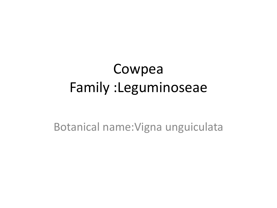### Cowpea Family :Leguminoseae

Botanical name:Vigna unguiculata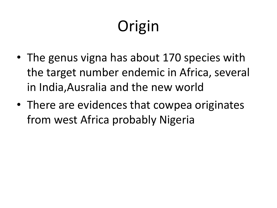# **Origin**

- The genus vigna has about 170 species with the target number endemic in Africa, several in India,Ausralia and the new world
- There are evidences that cowpea originates from west Africa probably Nigeria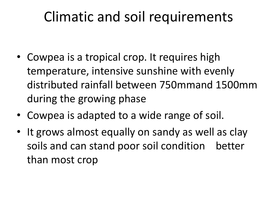#### Climatic and soil requirements

- Cowpea is a tropical crop. It requires high temperature, intensive sunshine with evenly distributed rainfall between 750mmand 1500mm during the growing phase
- Cowpea is adapted to a wide range of soil.
- It grows almost equally on sandy as well as clay soils and can stand poor soil condition better than most crop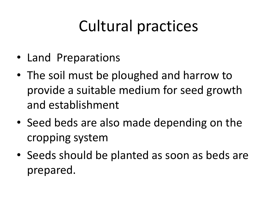## Cultural practices

- Land Preparations
- The soil must be ploughed and harrow to provide a suitable medium for seed growth and establishment
- Seed beds are also made depending on the cropping system
- Seeds should be planted as soon as beds are prepared.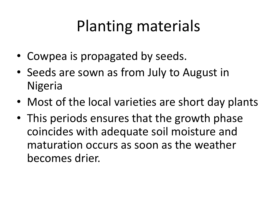## Planting materials

- Cowpea is propagated by seeds.
- Seeds are sown as from July to August in Nigeria
- Most of the local varieties are short day plants
- This periods ensures that the growth phase coincides with adequate soil moisture and maturation occurs as soon as the weather becomes drier.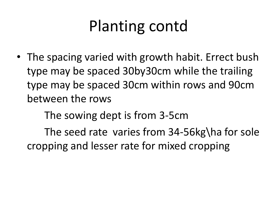## Planting contd

• The spacing varied with growth habit. Errect bush type may be spaced 30by30cm while the trailing type may be spaced 30cm within rows and 90cm between the rows

The sowing dept is from 3-5cm

The seed rate varies from 34-56kg\ha for sole cropping and lesser rate for mixed cropping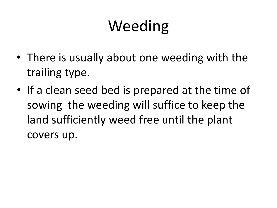# Weeding

- There is usually about one weeding with the trailing type.
- If a clean seed bed is prepared at the time of sowing the weeding will suffice to keep the land sufficiently weed free until the plant covers up.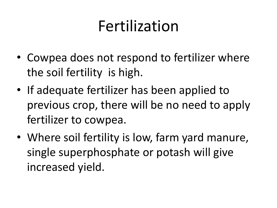## Fertilization

- Cowpea does not respond to fertilizer where the soil fertility is high.
- If adequate fertilizer has been applied to previous crop, there will be no need to apply fertilizer to cowpea.
- Where soil fertility is low, farm yard manure, single superphosphate or potash will give increased yield.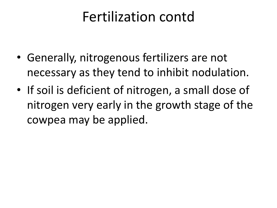#### Fertilization contd

- Generally, nitrogenous fertilizers are not necessary as they tend to inhibit nodulation.
- If soil is deficient of nitrogen, a small dose of nitrogen very early in the growth stage of the cowpea may be applied.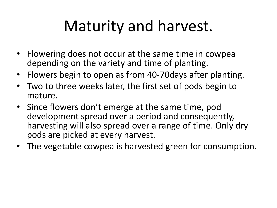## Maturity and harvest.

- Flowering does not occur at the same time in cowpea depending on the variety and time of planting.
- Flowers begin to open as from 40-70days after planting.
- Two to three weeks later, the first set of pods begin to mature.
- Since flowers don't emerge at the same time, pod development spread over a period and consequently, harvesting will also spread over a range of time. Only dry pods are picked at every harvest.
- The vegetable cowpea is harvested green for consumption.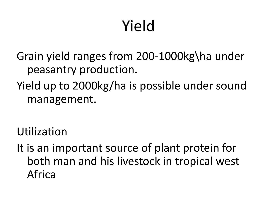# Yield

Grain yield ranges from 200-1000kg\ha under peasantry production.

Yield up to 2000kg/ha is possible under sound management.

Utilization

It is an important source of plant protein for both man and his livestock in tropical west Africa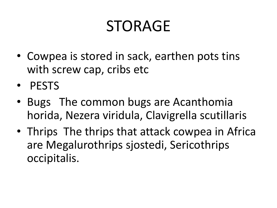### STORAGE

- Cowpea is stored in sack, earthen pots tins with screw cap, cribs etc
- PESTS
- Bugs The common bugs are Acanthomia horida, Nezera viridula, Clavigrella scutillaris
- Thrips The thrips that attack cowpea in Africa are Megalurothrips sjostedi, Sericothrips occipitalis.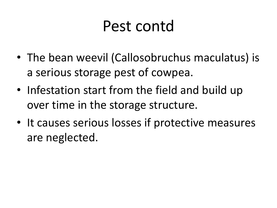### Pest contd

- The bean weevil (Callosobruchus maculatus) is a serious storage pest of cowpea.
- Infestation start from the field and build up over time in the storage structure.
- It causes serious losses if protective measures are neglected.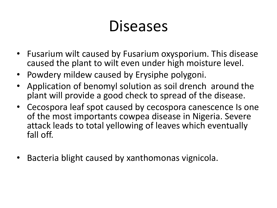### Diseases

- Fusarium wilt caused by Fusarium oxysporium. This disease caused the plant to wilt even under high moisture level.
- Powdery mildew caused by Erysiphe polygoni.
- Application of benomyl solution as soil drench around the plant will provide a good check to spread of the disease.
- Cecospora leaf spot caused by cecospora canescence Is one of the most importants cowpea disease in Nigeria. Severe attack leads to total yellowing of leaves which eventually fall off.
- Bacteria blight caused by xanthomonas vignicola.